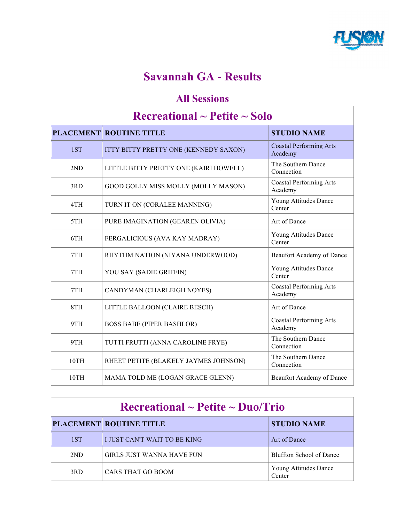

## **Savannah GA - Results**

#### **All Sessions**

#### **Recreational ~ Petite ~ Solo**

|      | <b>PLACEMENT ROUTINE TITLE</b>         | <b>STUDIO NAME</b>                        |
|------|----------------------------------------|-------------------------------------------|
| 1ST  | ITTY BITTY PRETTY ONE (KENNEDY SAXON)  | <b>Coastal Performing Arts</b><br>Academy |
| 2ND  | LITTLE BITTY PRETTY ONE (KAIRI HOWELL) | The Southern Dance<br>Connection          |
| 3RD  | GOOD GOLLY MISS MOLLY (MOLLY MASON)    | <b>Coastal Performing Arts</b><br>Academy |
| 4TH  | TURN IT ON (CORALEE MANNING)           | Young Attitudes Dance<br>Center           |
| 5TH  | PURE IMAGINATION (GEAREN OLIVIA)       | Art of Dance                              |
| 6TH  | FERGALICIOUS (AVA KAY MADRAY)          | Young Attitudes Dance<br>Center           |
| 7TH  | RHYTHM NATION (NIYANA UNDERWOOD)       | Beaufort Academy of Dance                 |
| 7TH  | YOU SAY (SADIE GRIFFIN)                | Young Attitudes Dance<br>Center           |
| 7TH  | CANDYMAN (CHARLEIGH NOYES)             | <b>Coastal Performing Arts</b><br>Academy |
| 8TH  | LITTLE BALLOON (CLAIRE BESCH)          | Art of Dance                              |
| 9TH  | <b>BOSS BABE (PIPER BASHLOR)</b>       | <b>Coastal Performing Arts</b><br>Academy |
| 9TH  | TUTTI FRUTTI (ANNA CAROLINE FRYE)      | The Southern Dance<br>Connection          |
| 10TH | RHEET PETITE (BLAKELY JAYMES JOHNSON)  | The Southern Dance<br>Connection          |
| 10TH | MAMA TOLD ME (LOGAN GRACE GLENN)       | Beaufort Academy of Dance                 |

| $\rm Recreational \sim Petite \sim Duo/Trio$ |                                |                                 |
|----------------------------------------------|--------------------------------|---------------------------------|
|                                              | <b>PLACEMENT ROUTINE TITLE</b> | <b>STUDIO NAME</b>              |
| 1ST                                          | LIUST CAN'T WAIT TO BE KING    | Art of Dance                    |
| 2ND                                          | GIRLS JUST WANNA HAVE FUN      | Bluffton School of Dance        |
| 3RD                                          | CARS THAT GO BOOM              | Young Attitudes Dance<br>Center |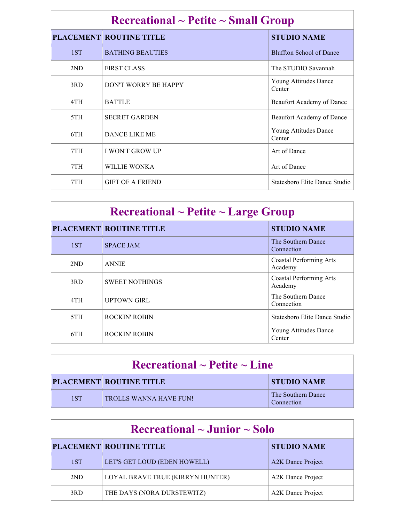|     | $\rm Recreational \sim Petite \sim Small~Group$ |                                  |
|-----|-------------------------------------------------|----------------------------------|
|     | <b>PLACEMENT ROUTINE TITLE</b>                  | <b>STUDIO NAME</b>               |
| 1ST | <b>BATHING BEAUTIES</b>                         | <b>Bluffton School of Dance</b>  |
| 2ND | <b>FIRST CLASS</b>                              | The STUDIO Savannah              |
| 3RD | DON'T WORRY BE HAPPY                            | Young Attitudes Dance<br>Center  |
| 4TH | <b>BATTLE</b>                                   | Beaufort Academy of Dance        |
| 5TH | <b>SECRET GARDEN</b>                            | <b>Beaufort Academy of Dance</b> |
| 6TH | <b>DANCE LIKE ME</b>                            | Young Attitudes Dance<br>Center  |
| 7TH | <b>I WON'T GROW UP</b>                          | Art of Dance                     |
| 7TH | <b>WILLIE WONKA</b>                             | Art of Dance                     |
| 7TH | <b>GIFT OF A FRIEND</b>                         | Statesboro Elite Dance Studio    |

| $\textbf{Recreational} \sim \textbf{Petite} \sim \textbf{Large Group}$ |                                |                                           |
|------------------------------------------------------------------------|--------------------------------|-------------------------------------------|
|                                                                        | <b>PLACEMENT ROUTINE TITLE</b> | <b>STUDIO NAME</b>                        |
| 1ST                                                                    | <b>SPACE JAM</b>               | The Southern Dance<br>Connection          |
| 2ND                                                                    | <b>ANNIE</b>                   | <b>Coastal Performing Arts</b><br>Academy |
| 3RD                                                                    | <b>SWEET NOTHINGS</b>          | <b>Coastal Performing Arts</b><br>Academy |
| 4TH                                                                    | <b>UPTOWN GIRL</b>             | The Southern Dance<br>Connection          |
| 5TH                                                                    | <b>ROCKIN' ROBIN</b>           | Statesboro Elite Dance Studio             |
| 6TH                                                                    | <b>ROCKIN' ROBIN</b>           | Young Attitudes Dance<br>Center           |

| Recreational $\sim$ Petite $\sim$ Line |                                |                                  |
|----------------------------------------|--------------------------------|----------------------------------|
|                                        | <b>PLACEMENT ROUTINE TITLE</b> | <b>STUDIO NAME</b>               |
| 1ST                                    | <b>TROLLS WANNA HAVE FUN!</b>  | The Southern Dance<br>Connection |

| $\rm Recreational \sim Junior \sim Solo$ |                                  |                                |
|------------------------------------------|----------------------------------|--------------------------------|
|                                          | <b>PLACEMENT ROUTINE TITLE</b>   | <b>STUDIO NAME</b>             |
| 1ST                                      | LET'S GET LOUD (EDEN HOWELL)     | A <sub>2</sub> K Dance Project |
| 2ND                                      | LOYAL BRAVE TRUE (KIRRYN HUNTER) | A2K Dance Project              |
| 3RD                                      | THE DAYS (NORA DURSTEWITZ)       | A2K Dance Project              |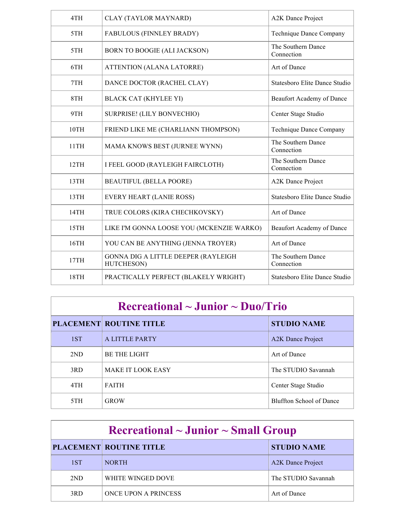| 4TH  | CLAY (TAYLOR MAYNARD)                             | <b>A2K Dance Project</b>             |
|------|---------------------------------------------------|--------------------------------------|
| 5TH  | <b>FABULOUS (FINNLEY BRADY)</b>                   | Technique Dance Company              |
| 5TH  | BORN TO BOOGIE (ALI JACKSON)                      | The Southern Dance<br>Connection     |
| 6TH  | ATTENTION (ALANA LATORRE)                         | Art of Dance                         |
| 7TH  | DANCE DOCTOR (RACHEL CLAY)                        | <b>Statesboro Elite Dance Studio</b> |
| 8TH  | <b>BLACK CAT (KHYLEE YI)</b>                      | Beaufort Academy of Dance            |
| 9TH  | SURPRISE! (LILY BONVECHIO)                        | Center Stage Studio                  |
| 10TH | FRIEND LIKE ME (CHARLIANN THOMPSON)               | Technique Dance Company              |
| 11TH | MAMA KNOWS BEST (JURNEE WYNN)                     | The Southern Dance<br>Connection     |
| 12TH | I FEEL GOOD (RAYLEIGH FAIRCLOTH)                  | The Southern Dance<br>Connection     |
| 13TH | <b>BEAUTIFUL (BELLA POORE)</b>                    | <b>A2K Dance Project</b>             |
| 13TH | <b>EVERY HEART (LANIE ROSS)</b>                   | Statesboro Elite Dance Studio        |
| 14TH | TRUE COLORS (KIRA CHECHKOVSKY)                    | Art of Dance                         |
| 15TH | LIKE I'M GONNA LOOSE YOU (MCKENZIE WARKO)         | Beaufort Academy of Dance            |
| 16TH | YOU CAN BE ANYTHING (JENNA TROYER)                | Art of Dance                         |
| 17TH | GONNA DIG A LITTLE DEEPER (RAYLEIGH<br>HUTCHESON) | The Southern Dance<br>Connection     |
| 18TH | PRACTICALLY PERFECT (BLAKELY WRIGHT)              | <b>Statesboro Elite Dance Studio</b> |

### **Recreational ~ Junior ~ Duo/Trio**

|     | <b>PLACEMENT ROUTINE TITLE</b> | <b>STUDIO NAME</b>              |
|-----|--------------------------------|---------------------------------|
| 1ST | A LITTLE PARTY                 | A <sub>2</sub> K Dance Project  |
| 2ND | <b>BE THE LIGHT</b>            | Art of Dance                    |
| 3RD | <b>MAKE IT LOOK EASY</b>       | The STUDIO Savannah             |
| 4TH | <b>FAITH</b>                   | Center Stage Studio             |
| 5TH | <b>GROW</b>                    | <b>Bluffton School of Dance</b> |

| $\rm Recreational \sim Junior \sim Small\,\, Group$ |                                |                          |
|-----------------------------------------------------|--------------------------------|--------------------------|
|                                                     | <b>PLACEMENT ROUTINE TITLE</b> | <b>STUDIO NAME</b>       |
| 1ST                                                 | <b>NORTH</b>                   | <b>A2K Dance Project</b> |
| 2ND                                                 | WHITE WINGED DOVE              | The STUDIO Savannah      |
| 3RD                                                 | <b>ONCE UPON A PRINCESS</b>    | Art of Dance             |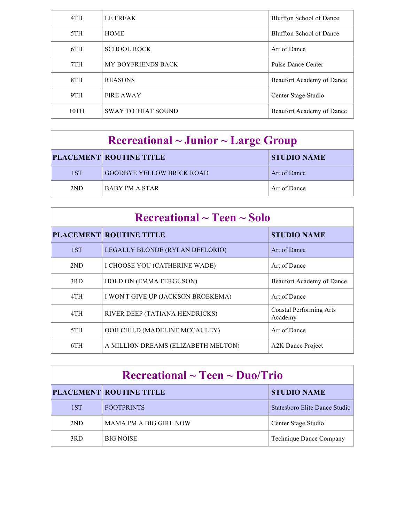| 4TH  | <b>LE FREAK</b>           | <b>Bluffton School of Dance</b> |
|------|---------------------------|---------------------------------|
| 5TH  | <b>HOME</b>               | <b>Bluffton School of Dance</b> |
| 6TH  | <b>SCHOOL ROCK</b>        | Art of Dance                    |
| 7TH  | <b>MY BOYFRIENDS BACK</b> | Pulse Dance Center              |
| 8TH  | <b>REASONS</b>            | Beaufort Academy of Dance       |
| 9TH  | <b>FIRE AWAY</b>          | Center Stage Studio             |
| 10TH | <b>SWAY TO THAT SOUND</b> | Beaufort Academy of Dance       |

| $\textbf{Recretional} \sim \textbf{Junior} \sim \textbf{Large Group}$ |                                  |                    |
|-----------------------------------------------------------------------|----------------------------------|--------------------|
|                                                                       | <b>PLACEMENT ROUTINE TITLE</b>   | <b>STUDIO NAME</b> |
| 1ST                                                                   | <b>GOODBYE YELLOW BRICK ROAD</b> | Art of Dance       |
| 2ND                                                                   | BABY I'M A STAR                  | Art of Dance       |

| $\rm Recreational \sim Teen \sim Solo$ |                                     |                                           |
|----------------------------------------|-------------------------------------|-------------------------------------------|
|                                        | <b>PLACEMENT ROUTINE TITLE</b>      | <b>STUDIO NAME</b>                        |
| 1ST                                    | LEGALLY BLONDE (RYLAN DEFLORIO)     | Art of Dance                              |
| 2ND                                    | I CHOOSE YOU (CATHERINE WADE)       | Art of Dance                              |
| 3RD                                    | <b>HOLD ON (EMMA FERGUSON)</b>      | Beaufort Academy of Dance                 |
| 4TH                                    | I WON'T GIVE UP (JACKSON BROEKEMA)  | Art of Dance                              |
| 4TH                                    | RIVER DEEP (TATIANA HENDRICKS)      | <b>Coastal Performing Arts</b><br>Academy |
| 5TH                                    | OOH CHILD (MADELINE MCCAULEY)       | Art of Dance                              |
| 6TH                                    | A MILLION DREAMS (ELIZABETH MELTON) | A2K Dance Project                         |

| Recreational $\sim$ Teen $\sim$ Duo/Trio |                                |                               |
|------------------------------------------|--------------------------------|-------------------------------|
|                                          | <b>PLACEMENT ROUTINE TITLE</b> | <b>STUDIO NAME</b>            |
| 1ST                                      | <b>FOOTPRINTS</b>              | Statesboro Elite Dance Studio |
| 2ND                                      | <b>MAMA I'M A BIG GIRL NOW</b> | Center Stage Studio           |
| 3RD                                      | <b>BIG NOISE</b>               | Technique Dance Company       |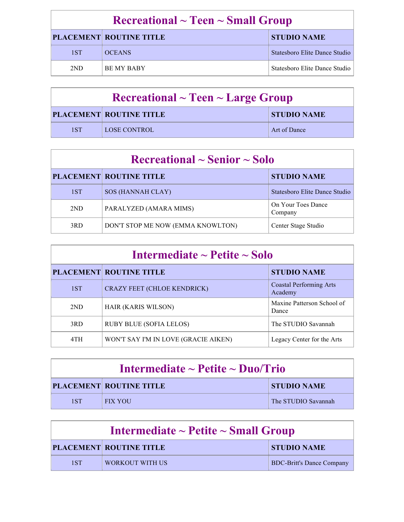| $\rm Recreational \sim Teen \sim Small~Group$ |                                |                               |
|-----------------------------------------------|--------------------------------|-------------------------------|
|                                               | <b>PLACEMENT ROUTINE TITLE</b> | <b>STUDIO NAME</b>            |
| 1ST                                           | <b>OCEANS</b>                  | Statesboro Elite Dance Studio |
| 2ND                                           | <b>BE MY BABY</b>              | Statesboro Elite Dance Studio |

| $\textbf{Recreational} \sim \textbf{Teen} \sim \textbf{Large Group}$ |                                |                    |
|----------------------------------------------------------------------|--------------------------------|--------------------|
|                                                                      | <b>PLACEMENT ROUTINE TITLE</b> | <b>STUDIO NAME</b> |
| 1ST                                                                  | LOSE CONTROL                   | Art of Dance       |

| $\rm Recreational \sim Senior \sim Solo$ |                                   |                               |
|------------------------------------------|-----------------------------------|-------------------------------|
|                                          | <b>PLACEMENT ROUTINE TITLE</b>    | <b>STUDIO NAME</b>            |
| 1ST                                      | SOS (HANNAH CLAY)                 | Statesboro Elite Dance Studio |
| 2ND                                      | PARALYZED (AMARA MIMS)            | On Your Toes Dance<br>Company |
| 3RD                                      | DON'T STOP ME NOW (EMMA KNOWLTON) | Center Stage Studio           |

| Intermediate $\sim$ Petite $\sim$ Solo |                                      |                                     |
|----------------------------------------|--------------------------------------|-------------------------------------|
|                                        | <b>PLACEMENT ROUTINE TITLE</b>       | <b>STUDIO NAME</b>                  |
| 1ST                                    | <b>CRAZY FEET (CHLOE KENDRICK)</b>   | Coastal Performing Arts<br>Academy  |
| 2ND                                    | HAIR (KARIS WILSON)                  | Maxine Patterson School of<br>Dance |
| 3RD                                    | <b>RUBY BLUE (SOFIA LELOS)</b>       | The STUDIO Savannah                 |
| 4TH                                    | WON'T SAY I'M IN LOVE (GRACIE AIKEN) | Legacy Center for the Arts          |

| Intermediate $\sim$ Petite $\sim$ Duo/Trio |                                |                     |
|--------------------------------------------|--------------------------------|---------------------|
|                                            | <b>PLACEMENT ROUTINE TITLE</b> | <b>STUDIO NAME</b>  |
| 1ST                                        | <b>FIX YOU</b>                 | The STUDIO Savannah |

| Intermediate $\sim$ Petite $\sim$ Small Group |                                |                                  |
|-----------------------------------------------|--------------------------------|----------------------------------|
|                                               | <b>PLACEMENT ROUTINE TITLE</b> | <b>STUDIO NAME</b>               |
| 1ST                                           | WORKOUT WITH US                | <b>BDC-Britt's Dance Company</b> |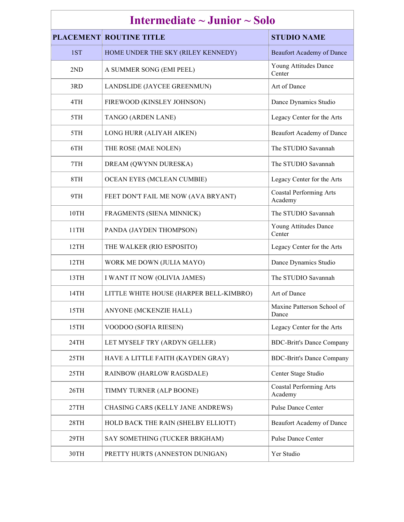|      | Intermediate $\sim$ Junior $\sim$ Solo  |                                           |
|------|-----------------------------------------|-------------------------------------------|
|      | <b>PLACEMENT ROUTINE TITLE</b>          | <b>STUDIO NAME</b>                        |
| 1ST  | HOME UNDER THE SKY (RILEY KENNEDY)      | <b>Beaufort Academy of Dance</b>          |
| 2ND  | A SUMMER SONG (EMI PEEL)                | Young Attitudes Dance<br>Center           |
| 3RD  | LANDSLIDE (JAYCEE GREENMUN)             | Art of Dance                              |
| 4TH  | FIREWOOD (KINSLEY JOHNSON)              | Dance Dynamics Studio                     |
| 5TH  | TANGO (ARDEN LANE)                      | Legacy Center for the Arts                |
| 5TH  | LONG HURR (ALIYAH AIKEN)                | Beaufort Academy of Dance                 |
| 6TH  | THE ROSE (MAE NOLEN)                    | The STUDIO Savannah                       |
| 7TH  | DREAM (QWYNN DURESKA)                   | The STUDIO Savannah                       |
| 8TH  | OCEAN EYES (MCLEAN CUMBIE)              | Legacy Center for the Arts                |
| 9TH  | FEET DON'T FAIL ME NOW (AVA BRYANT)     | <b>Coastal Performing Arts</b><br>Academy |
| 10TH | FRAGMENTS (SIENA MINNICK)               | The STUDIO Savannah                       |
| 11TH | PANDA (JAYDEN THOMPSON)                 | Young Attitudes Dance<br>Center           |
| 12TH | THE WALKER (RIO ESPOSITO)               | Legacy Center for the Arts                |
| 12TH | WORK ME DOWN (JULIA MAYO)               | Dance Dynamics Studio                     |
| 13TH | I WANT IT NOW (OLIVIA JAMES)            | The STUDIO Savannah                       |
| 14TH | LITTLE WHITE HOUSE (HARPER BELL-KIMBRO) | Art of Dance                              |
| 15TH | ANYONE (MCKENZIE HALL)                  | Maxine Patterson School of<br>Dance       |
| 15TH | VOODOO (SOFIA RIESEN)                   | Legacy Center for the Arts                |
| 24TH | LET MYSELF TRY (ARDYN GELLER)           | <b>BDC-Britt's Dance Company</b>          |
| 25TH | HAVE A LITTLE FAITH (KAYDEN GRAY)       | <b>BDC-Britt's Dance Company</b>          |
| 25TH | RAINBOW (HARLOW RAGSDALE)               | Center Stage Studio                       |
| 26TH | TIMMY TURNER (ALP BOONE)                | <b>Coastal Performing Arts</b><br>Academy |
| 27TH | CHASING CARS (KELLY JANE ANDREWS)       | Pulse Dance Center                        |
| 28TH | HOLD BACK THE RAIN (SHELBY ELLIOTT)     | Beaufort Academy of Dance                 |
| 29TH | SAY SOMETHING (TUCKER BRIGHAM)          | Pulse Dance Center                        |
| 30TH | PRETTY HURTS (ANNESTON DUNIGAN)         | Yer Studio                                |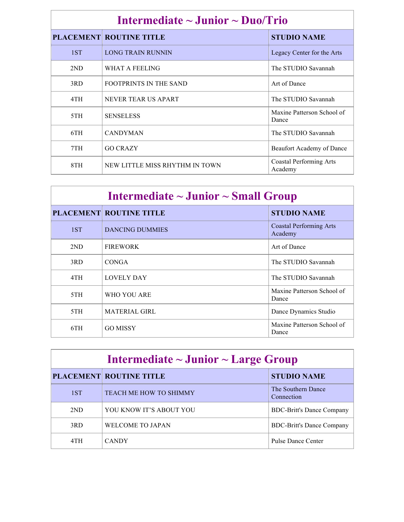| Intermediate $\sim$ Junior $\sim$ Duo/Trio |                                |                                           |
|--------------------------------------------|--------------------------------|-------------------------------------------|
|                                            | <b>PLACEMENT ROUTINE TITLE</b> | <b>STUDIO NAME</b>                        |
| 1ST                                        | <b>LONG TRAIN RUNNIN</b>       | Legacy Center for the Arts                |
| 2ND                                        | WHAT A FEELING                 | The STUDIO Savannah                       |
| 3RD                                        | <b>FOOTPRINTS IN THE SAND</b>  | Art of Dance                              |
| 4TH                                        | <b>NEVER TEAR US APART</b>     | The STUDIO Savannah                       |
| 5TH                                        | <b>SENSELESS</b>               | Maxine Patterson School of<br>Dance       |
| 6TH                                        | <b>CANDYMAN</b>                | The STUDIO Savannah                       |
| 7TH                                        | <b>GO CRAZY</b>                | Beaufort Academy of Dance                 |
| 8TH                                        | NEW LITTLE MISS RHYTHM IN TOWN | <b>Coastal Performing Arts</b><br>Academy |

| Intermediate $\sim$ Junior $\sim$ Small Group |                                |                                           |
|-----------------------------------------------|--------------------------------|-------------------------------------------|
|                                               | <b>PLACEMENT ROUTINE TITLE</b> | <b>STUDIO NAME</b>                        |
| 1ST                                           | <b>DANCING DUMMIES</b>         | <b>Coastal Performing Arts</b><br>Academy |
| 2ND                                           | <b>FIREWORK</b>                | Art of Dance                              |
| 3RD                                           | <b>CONGA</b>                   | The STUDIO Savannah                       |
| 4TH                                           | <b>LOVELY DAY</b>              | The STUDIO Savannah                       |
| 5TH                                           | WHO YOU ARE                    | Maxine Patterson School of<br>Dance       |
| 5TH                                           | <b>MATERIAL GIRL</b>           | Dance Dynamics Studio                     |
| 6TH                                           | <b>GO MISSY</b>                | Maxine Patterson School of<br>Dance       |

| Intermediate $\sim$ Junior $\sim$ Large Group |                                |                                  |
|-----------------------------------------------|--------------------------------|----------------------------------|
|                                               | <b>PLACEMENT ROUTINE TITLE</b> | <b>STUDIO NAME</b>               |
| 1ST                                           | <b>TEACH ME HOW TO SHIMMY</b>  | The Southern Dance<br>Connection |
| 2ND                                           | YOU KNOW IT'S ABOUT YOU        | <b>BDC-Britt's Dance Company</b> |
| 3RD                                           | <b>WELCOME TO JAPAN</b>        | <b>BDC-Britt's Dance Company</b> |
| 4TH                                           | <b>CANDY</b>                   | Pulse Dance Center               |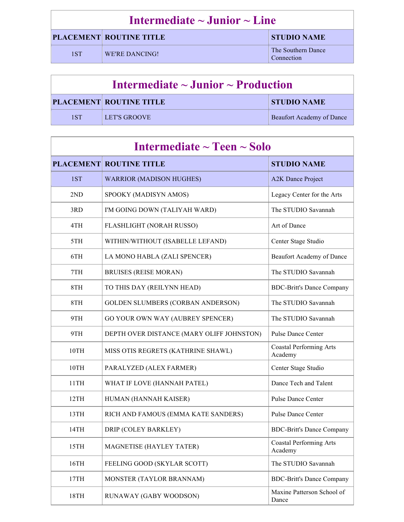|                                                                  | Intermediate $\sim$ Junior $\sim$ Line |  |  |
|------------------------------------------------------------------|----------------------------------------|--|--|
| <b>PLACEMENT ROUTINE TITLE</b><br><b>STUDIO NAME</b>             |                                        |  |  |
| The Southern Dance<br><b>WE'RE DANCING!</b><br>1ST<br>Connection |                                        |  |  |

| Intermediate $\sim$ Junior $\sim$ Production |                                |                                  |
|----------------------------------------------|--------------------------------|----------------------------------|
|                                              | <b>PLACEMENT ROUTINE TITLE</b> | <b>STUDIO NAME</b>               |
| 1ST                                          | LET'S GROOVE                   | <b>Beaufort Academy of Dance</b> |

| Intermediate $\sim$ Teen $\sim$ Solo |                                           |                                           |
|--------------------------------------|-------------------------------------------|-------------------------------------------|
|                                      | <b>PLACEMENT ROUTINE TITLE</b>            | <b>STUDIO NAME</b>                        |
| 1ST                                  | <b>WARRIOR (MADISON HUGHES)</b>           | <b>A2K Dance Project</b>                  |
| 2 <sub>ND</sub>                      | SPOOKY (MADISYN AMOS)                     | Legacy Center for the Arts                |
| 3RD                                  | I'M GOING DOWN (TALIYAH WARD)             | The STUDIO Savannah                       |
| 4TH                                  | FLASHLIGHT (NORAH RUSSO)                  | Art of Dance                              |
| 5TH                                  | WITHIN/WITHOUT (ISABELLE LEFAND)          | Center Stage Studio                       |
| 6TH                                  | LA MONO HABLA (ZALI SPENCER)              | Beaufort Academy of Dance                 |
| 7TH                                  | <b>BRUISES (REISE MORAN)</b>              | The STUDIO Savannah                       |
| 8TH                                  | TO THIS DAY (REILYNN HEAD)                | <b>BDC-Britt's Dance Company</b>          |
| 8TH                                  | <b>GOLDEN SLUMBERS (CORBAN ANDERSON)</b>  | The STUDIO Savannah                       |
| 9TH                                  | <b>GO YOUR OWN WAY (AUBREY SPENCER)</b>   | The STUDIO Savannah                       |
| 9TH                                  | DEPTH OVER DISTANCE (MARY OLIFF JOHNSTON) | <b>Pulse Dance Center</b>                 |
| 10TH                                 | MISS OTIS REGRETS (KATHRINE SHAWL)        | <b>Coastal Performing Arts</b><br>Academy |
| 10TH                                 | PARALYZED (ALEX FARMER)                   | Center Stage Studio                       |
| 11TH                                 | WHAT IF LOVE (HANNAH PATEL)               | Dance Tech and Talent                     |
| 12TH                                 | HUMAN (HANNAH KAISER)                     | Pulse Dance Center                        |
| 13TH                                 | RICH AND FAMOUS (EMMA KATE SANDERS)       | <b>Pulse Dance Center</b>                 |
| 14TH                                 | DRIP (COLEY BARKLEY)                      | <b>BDC-Britt's Dance Company</b>          |
| 15TH                                 | MAGNETISE (HAYLEY TATER)                  | <b>Coastal Performing Arts</b><br>Academy |
| 16TH                                 | FEELING GOOD (SKYLAR SCOTT)               | The STUDIO Savannah                       |
| 17TH                                 | MONSTER (TAYLOR BRANNAM)                  | <b>BDC-Britt's Dance Company</b>          |
| 18TH                                 | RUNAWAY (GABY WOODSON)                    | Maxine Patterson School of<br>Dance       |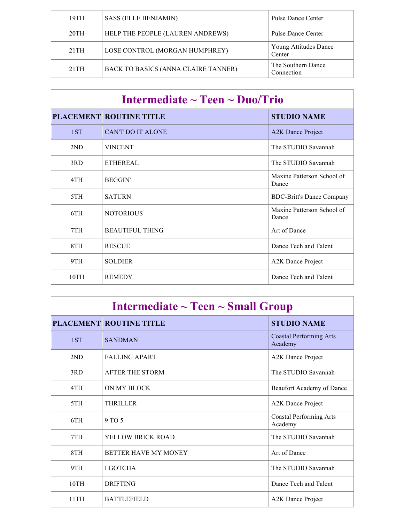| 19TH | <b>SASS (ELLE BENJAMIN)</b>         | Pulse Dance Center               |
|------|-------------------------------------|----------------------------------|
| 20TH | HELP THE PEOPLE (LAUREN ANDREWS)    | Pulse Dance Center               |
| 21TH | LOSE CONTROL (MORGAN HUMPHREY)      | Young Attitudes Dance<br>Center  |
| 21TH | BACK TO BASICS (ANNA CLAIRE TANNER) | The Southern Dance<br>Connection |

| Intermediate $\sim$ Teen $\sim$ Duo/Trio |                                |                                     |
|------------------------------------------|--------------------------------|-------------------------------------|
|                                          | <b>PLACEMENT ROUTINE TITLE</b> | <b>STUDIO NAME</b>                  |
| 1ST                                      | <b>CAN'T DO IT ALONE</b>       | A2K Dance Project                   |
| 2ND                                      | <b>VINCENT</b>                 | The STUDIO Savannah                 |
| 3RD                                      | <b>ETHEREAL</b>                | The STUDIO Savannah                 |
| 4TH                                      | <b>BEGGIN'</b>                 | Maxine Patterson School of<br>Dance |
| 5TH                                      | <b>SATURN</b>                  | <b>BDC-Britt's Dance Company</b>    |
| 6TH                                      | <b>NOTORIOUS</b>               | Maxine Patterson School of<br>Dance |
| 7TH                                      | <b>BEAUTIFUL THING</b>         | Art of Dance                        |
| 8TH                                      | <b>RESCUE</b>                  | Dance Tech and Talent               |
| 9TH                                      | <b>SOLDIER</b>                 | A2K Dance Project                   |
| 10TH                                     | <b>REMEDY</b>                  | Dance Tech and Talent               |

| Intermediate $\sim$ Teen $\sim$ Small Group |                                |                                           |
|---------------------------------------------|--------------------------------|-------------------------------------------|
|                                             | <b>PLACEMENT ROUTINE TITLE</b> | <b>STUDIO NAME</b>                        |
| 1ST                                         | <b>SANDMAN</b>                 | <b>Coastal Performing Arts</b><br>Academy |
| 2ND                                         | <b>FALLING APART</b>           | A2K Dance Project                         |
| 3RD                                         | <b>AFTER THE STORM</b>         | The STUDIO Savannah                       |
| 4TH                                         | ON MY BLOCK                    | Beaufort Academy of Dance                 |
| 5TH                                         | <b>THRILLER</b>                | A2K Dance Project                         |
| 6TH                                         | 9 TO 5                         | <b>Coastal Performing Arts</b><br>Academy |
| 7TH                                         | YELLOW BRICK ROAD              | The STUDIO Savannah                       |
| 8TH                                         | <b>BETTER HAVE MY MONEY</b>    | Art of Dance                              |
| 9TH                                         | <b>I GOTCHA</b>                | The STUDIO Savannah                       |
| 10TH                                        | <b>DRIFTING</b>                | Dance Tech and Talent                     |
| 11TH                                        | <b>BATTLEFIELD</b>             | A2K Dance Project                         |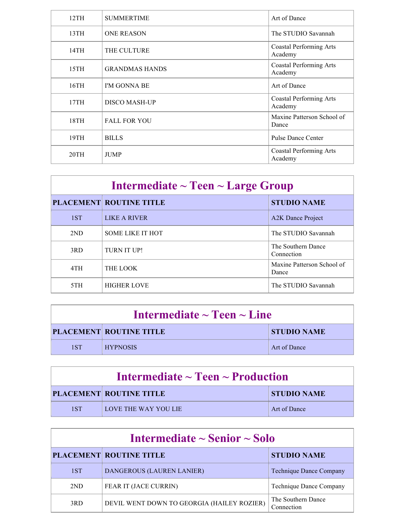| 12TH | <b>SUMMERTIME</b>     | Art of Dance                              |
|------|-----------------------|-------------------------------------------|
| 13TH | <b>ONE REASON</b>     | The STUDIO Savannah                       |
| 14TH | THE CULTURE           | <b>Coastal Performing Arts</b><br>Academy |
| 15TH | <b>GRANDMAS HANDS</b> | <b>Coastal Performing Arts</b><br>Academy |
| 16TH | I'M GONNA BE          | Art of Dance                              |
| 17TH | <b>DISCO MASH-UP</b>  | <b>Coastal Performing Arts</b><br>Academy |
| 18TH | <b>FALL FOR YOU</b>   | Maxine Patterson School of<br>Dance       |
| 19TH | <b>BILLS</b>          | <b>Pulse Dance Center</b>                 |
| 20TH | <b>JUMP</b>           | <b>Coastal Performing Arts</b><br>Academy |

| Intermediate $\sim$ Teen $\sim$ Large Group |                                |                                     |
|---------------------------------------------|--------------------------------|-------------------------------------|
|                                             | <b>PLACEMENT ROUTINE TITLE</b> | <b>STUDIO NAME</b>                  |
| 1ST                                         | LIKE A RIVER                   | <b>A2K</b> Dance Project            |
| 2ND                                         | <b>SOME LIKE IT HOT</b>        | The STUDIO Savannah                 |
| 3RD                                         | <b>TURN IT UP!</b>             | The Southern Dance<br>Connection    |
| 4TH                                         | THE LOOK                       | Maxine Patterson School of<br>Dance |
| 5TH                                         | <b>HIGHER LOVE</b>             | The STUDIO Savannah                 |

| Intermediate $\sim$ Teen $\sim$ Line |                                |                    |
|--------------------------------------|--------------------------------|--------------------|
|                                      | <b>PLACEMENT ROUTINE TITLE</b> | <b>STUDIO NAME</b> |
| 1ST                                  | <b>HYPNOSIS</b>                | Art of Dance       |

| Intermediate $\sim$ Teen $\sim$ Production |                                |                    |
|--------------------------------------------|--------------------------------|--------------------|
|                                            | <b>PLACEMENT ROUTINE TITLE</b> | <b>STUDIO NAME</b> |
| 1ST                                        | LOVE THE WAY YOU LIE           | Art of Dance       |

| Intermediate $\sim$ Senior $\sim$ Solo |                                            |                                  |  |
|----------------------------------------|--------------------------------------------|----------------------------------|--|
|                                        | <b>PLACEMENT ROUTINE TITLE</b>             | <b>STUDIO NAME</b>               |  |
| 1ST                                    | <b>DANGEROUS (LAUREN LANIER)</b>           | <b>Technique Dance Company</b>   |  |
| 2ND                                    | FEAR IT (JACE CURRIN)                      | Technique Dance Company          |  |
| 3RD                                    | DEVIL WENT DOWN TO GEORGIA (HAILEY ROZIER) | The Southern Dance<br>Connection |  |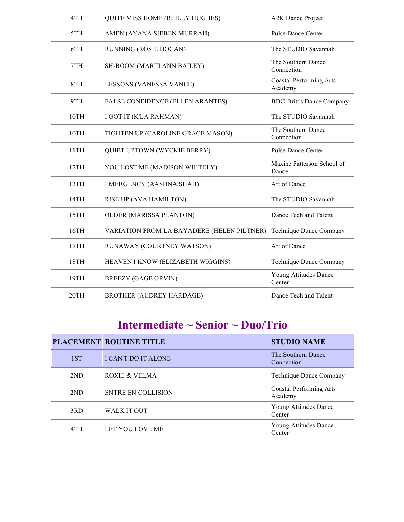| 4TH  | <b>QUITE MISS HOME (REILLY HUGHES)</b>     | <b>A2K Dance Project</b>                  |
|------|--------------------------------------------|-------------------------------------------|
| 5TH  | AMEN (AYANA SIEBEN MURRAH)                 | <b>Pulse Dance Center</b>                 |
| 6TH  | RUNNING (ROSIE HOGAN)                      | The STUDIO Savannah                       |
| 7TH  | SH-BOOM (MARTI ANN BAILEY)                 | The Southern Dance<br>Connection          |
| 8TH  | LESSONS (VANESSA VANCE)                    | <b>Coastal Performing Arts</b><br>Academy |
| 9TH  | FALSE CONFIDENCE (ELLEN ARANTES)           | <b>BDC-Britt's Dance Company</b>          |
| 10TH | I GOT IT (K'LA RAHMAN)                     | The STUDIO Savannah                       |
| 10TH | TIGHTEN UP (CAROLINE GRACE MASON)          | The Southern Dance<br>Connection          |
| 11TH | QUIET UPTOWN (WYCKIE BERRY)                | <b>Pulse Dance Center</b>                 |
| 12TH | YOU LOST ME (MADISON WHITELY)              | Maxine Patterson School of<br>Dance       |
| 13TH | EMERGENCY (AASHNA SHAH)                    | Art of Dance                              |
| 14TH | RISE UP (AVA HAMILTON)                     | The STUDIO Savannah                       |
| 15TH | OLDER (MARISSA PLANTON)                    | Dance Tech and Talent                     |
| 16TH | VARIATION FROM LA BAYADERE (HELEN PILTNER) | Technique Dance Company                   |
| 17TH | RUNAWAY (COURTNEY WATSON)                  | Art of Dance                              |
| 18TH | HEAVEN I KNOW (ELIZABETH WIGGINS)          | Technique Dance Company                   |
| 19TH | <b>BREEZY (GAGE ORVIN)</b>                 | Young Attitudes Dance<br>Center           |
| 20TH | <b>BROTHER (AUDREY HARDAGE)</b>            | Dance Tech and Talent                     |

| Intermediate $\sim$ Senior $\sim$ Duo/Trio |                                |                                           |
|--------------------------------------------|--------------------------------|-------------------------------------------|
|                                            | <b>PLACEMENT ROUTINE TITLE</b> | <b>STUDIO NAME</b>                        |
| 1ST                                        | I CAN'T DO IT ALONE            | The Southern Dance<br>Connection          |
| 2ND                                        | <b>ROXIE &amp; VELMA</b>       | Technique Dance Company                   |
| 2ND                                        | <b>ENTRE EN COLLISION</b>      | <b>Coastal Performing Arts</b><br>Academy |
| 3RD                                        | WALK IT OUT                    | Young Attitudes Dance<br>Center           |
| 4TH                                        | LET YOU LOVE ME                | Young Attitudes Dance<br>Center           |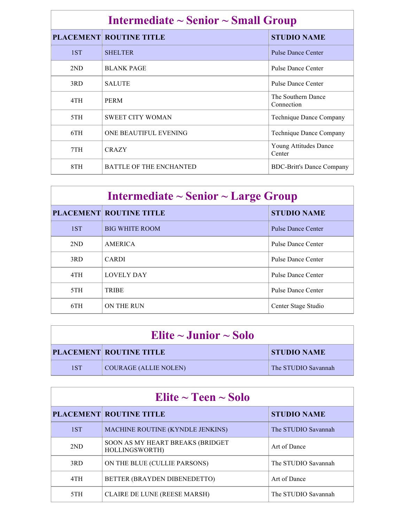| Intermediate $\sim$ Senior $\sim$ Small Group |                                |                                  |
|-----------------------------------------------|--------------------------------|----------------------------------|
|                                               | <b>PLACEMENT ROUTINE TITLE</b> | <b>STUDIO NAME</b>               |
| 1ST                                           | <b>SHELTER</b>                 | <b>Pulse Dance Center</b>        |
| 2ND                                           | <b>BLANK PAGE</b>              | Pulse Dance Center               |
| 3RD                                           | <b>SALUTE</b>                  | Pulse Dance Center               |
| 4TH                                           | <b>PERM</b>                    | The Southern Dance<br>Connection |
| 5TH                                           | <b>SWEET CITY WOMAN</b>        | Technique Dance Company          |
| 6TH                                           | ONE BEAUTIFUL EVENING          | Technique Dance Company          |
| 7TH                                           | <b>CRAZY</b>                   | Young Attitudes Dance<br>Center  |
| 8TH                                           | <b>BATTLE OF THE ENCHANTED</b> | <b>BDC-Britt's Dance Company</b> |

| Intermediate $\sim$ Senior $\sim$ Large Group |                                |                     |
|-----------------------------------------------|--------------------------------|---------------------|
|                                               | <b>PLACEMENT ROUTINE TITLE</b> | <b>STUDIO NAME</b>  |
| 1ST                                           | <b>BIG WHITE ROOM</b>          | Pulse Dance Center  |
| 2ND                                           | AMERICA                        | Pulse Dance Center  |
| 3RD                                           | <b>CARDI</b>                   | Pulse Dance Center  |
| 4TH                                           | <b>LOVELY DAY</b>              | Pulse Dance Center  |
| 5TH                                           | <b>TRIBE</b>                   | Pulse Dance Center  |
| 6TH                                           | ON THE RUN                     | Center Stage Studio |

| Elite $\sim$ Junior $\sim$ Solo |                                |                     |
|---------------------------------|--------------------------------|---------------------|
|                                 | <b>PLACEMENT ROUTINE TITLE</b> | <b>STUDIO NAME</b>  |
| 1ST                             | COURAGE (ALLIE NOLEN)          | The STUDIO Savannah |

| Elite $\sim$ Teen $\sim$ Solo |  |  |
|-------------------------------|--|--|
|-------------------------------|--|--|

|     | <b>PLACEMENT ROUTINE TITLE</b>                     | <b>STUDIO NAME</b>  |
|-----|----------------------------------------------------|---------------------|
| 1ST | MACHINE ROUTINE (KYNDLE JENKINS)                   | The STUDIO Savannah |
| 2ND | SOON AS MY HEART BREAKS (BRIDGET<br>HOLLINGSWORTH) | Art of Dance        |
| 3RD | ON THE BLUE (CULLIE PARSONS)                       | The STUDIO Savannah |
| 4TH | BETTER (BRAYDEN DIBENEDETTO)                       | Art of Dance        |
| 5TH | <b>CLAIRE DE LUNE (REESE MARSH)</b>                | The STUDIO Savannah |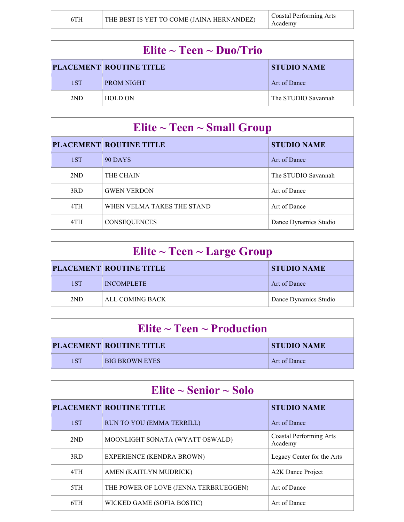| THE BEST IS YET TO COME (JAINA HERNANDEZ) | Coastal Performing Arts<br>Academy |
|-------------------------------------------|------------------------------------|
|                                           |                                    |

| Elite $\sim$ Teen $\sim$ Duo/Trio |                                |                     |
|-----------------------------------|--------------------------------|---------------------|
|                                   | <b>PLACEMENT ROUTINE TITLE</b> | <b>STUDIO NAME</b>  |
| 1ST                               | <b>PROM NIGHT</b>              | Art of Dance        |
| 2ND                               | <b>HOLD ON</b>                 | The STUDIO Savannah |

| Elite $\sim$ Teen $\sim$ Small Group |                                |                       |
|--------------------------------------|--------------------------------|-----------------------|
|                                      | <b>PLACEMENT ROUTINE TITLE</b> | <b>STUDIO NAME</b>    |
| 1ST                                  | 90 DAYS                        | Art of Dance          |
| 2ND                                  | THE CHAIN                      | The STUDIO Savannah   |
| 3RD                                  | <b>GWEN VERDON</b>             | Art of Dance          |
| 4TH                                  | WHEN VELMA TAKES THE STAND     | Art of Dance          |
| 4TH                                  | <b>CONSEQUENCES</b>            | Dance Dynamics Studio |

| Elite $\sim$ Teen $\sim$ Large Group |                                |                       |
|--------------------------------------|--------------------------------|-----------------------|
|                                      | <b>PLACEMENT ROUTINE TITLE</b> | <b>STUDIO NAME</b>    |
| 1ST                                  | <b>INCOMPLETE</b>              | Art of Dance          |
| 2ND                                  | ALL COMING BACK                | Dance Dynamics Studio |

| Elite $\sim$ Teen $\sim$ Production |                                |                    |
|-------------------------------------|--------------------------------|--------------------|
|                                     | <b>PLACEMENT ROUTINE TITLE</b> | <b>STUDIO NAME</b> |
| 1ST                                 | <b>BIG BROWN EYES</b>          | Art of Dance       |

| Elite $\sim$ Senior $\sim$ Solo |                                       |                                           |
|---------------------------------|---------------------------------------|-------------------------------------------|
|                                 | <b>PLACEMENT ROUTINE TITLE</b>        | <b>STUDIO NAME</b>                        |
| 1ST                             | RUN TO YOU (EMMA TERRILL)             | Art of Dance                              |
| 2ND                             | MOONLIGHT SONATA (WYATT OSWALD)       | <b>Coastal Performing Arts</b><br>Academy |
| 3RD                             | <b>EXPERIENCE (KENDRA BROWN)</b>      | Legacy Center for the Arts                |
| 4TH                             | AMEN (KAITLYN MUDRICK)                | A <sub>2</sub> K Dance Project            |
| 5TH                             | THE POWER OF LOVE (JENNA TERBRUEGGEN) | Art of Dance                              |
| 6TH                             | WICKED GAME (SOFIA BOSTIC)            | Art of Dance                              |